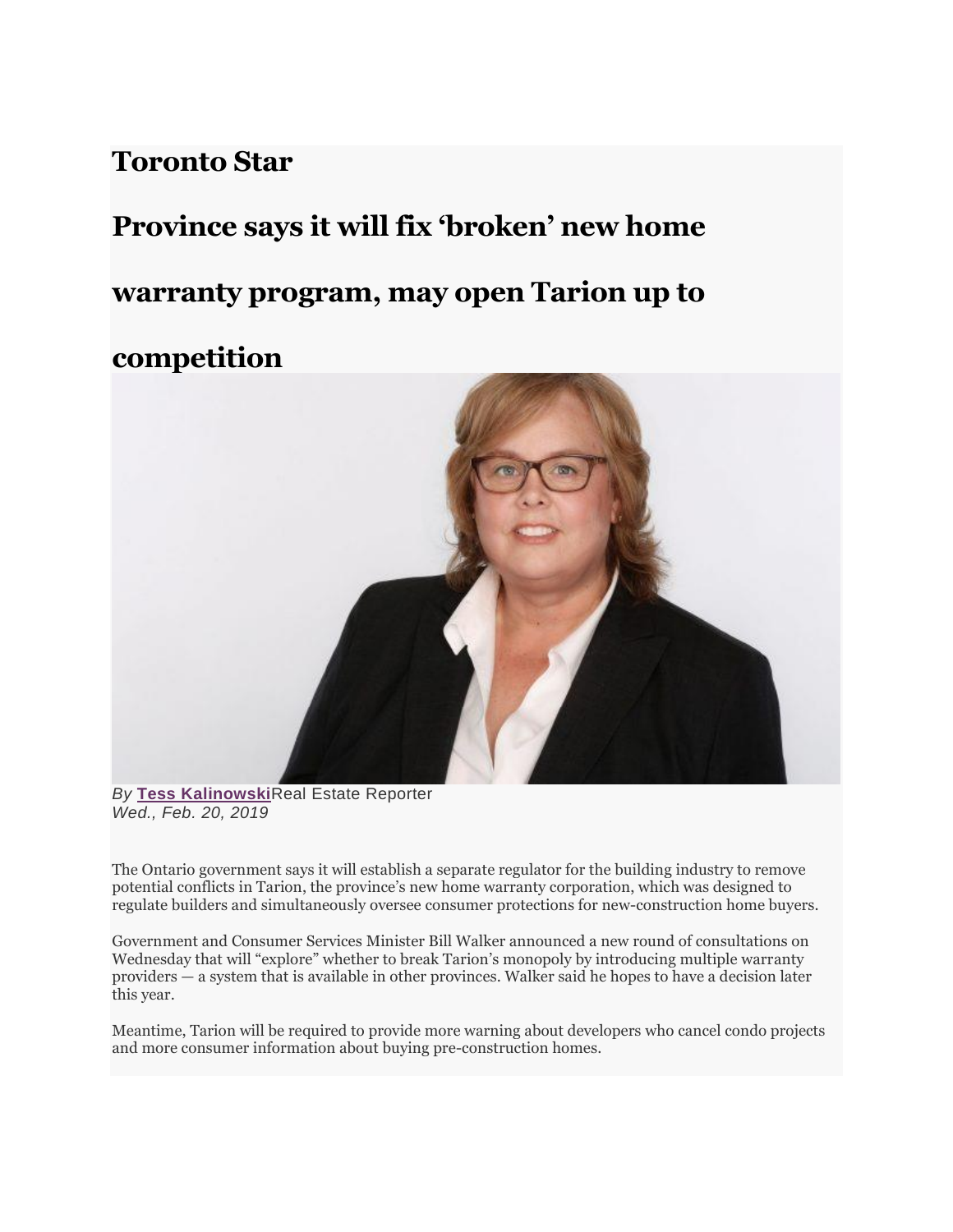## **Toronto Star**

# **Province says it will fix 'broken' new home warranty program, may open Tarion up to competition**



*By* **[Tess Kalinowski](https://www.thestar.com/authors.kalinowski_tess.html)**Real Estate Reporter *Wed., Feb. 20, 2019*

The Ontario government says it will establish a separate regulator for the building industry to remove potential conflicts in Tarion, the province's new home warranty corporation, which was designed to regulate builders and simultaneously oversee consumer protections for new-construction home buyers.

Government and Consumer Services Minister Bill Walker announced a new round of consultations on Wednesday that will "explore" whether to break Tarion's monopoly by introducing multiple warranty providers — a system that is available in other provinces. Walker said he hopes to have a decision later this year.

Meantime, Tarion will be required to provide more warning about developers who cancel condo projects and more consumer information about buying pre-construction homes.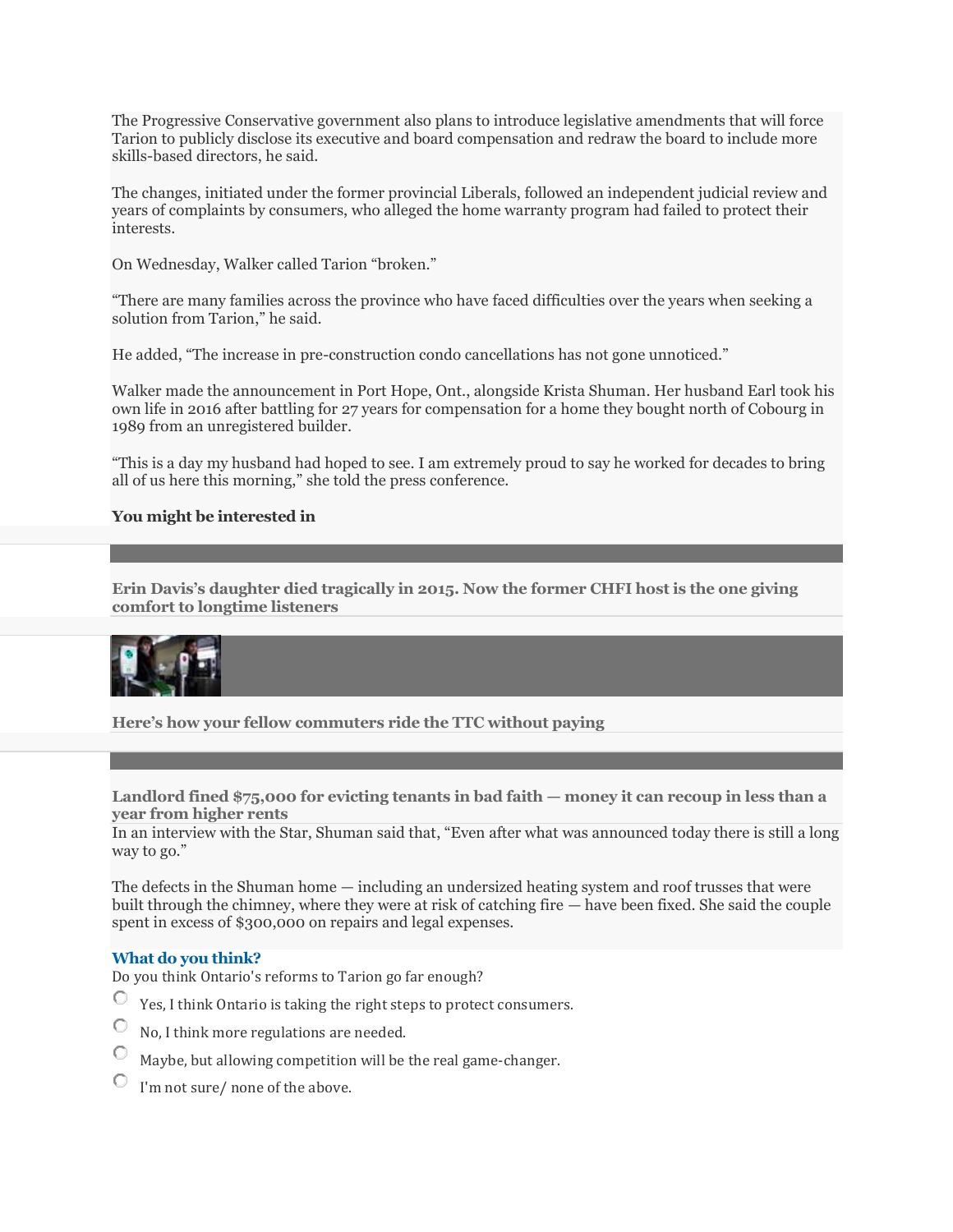The Progressive Conservative government also plans to introduce legislative amendments that will force Tarion to publicly disclose its executive and board compensation and redraw the board to include more skills-based directors, he said.

The changes, initiated under the former provincial Liberals, followed an independent judicial review and years of complaints by consumers, who alleged the home warranty program had failed to protect their interests.

On Wednesday, Walker called Tarion "broken."

"There are many families across the province who have faced difficulties over the years when seeking a solution from Tarion," he said.

He added, "The increase in pre-construction condo cancellations has not gone unnoticed."

Walker made the announcement in Port Hope, Ont., alongside Krista Shuman. Her husband Earl took his own life in 2016 after battling for 27 years for compensation for a home they bought north of Cobourg in 1989 from an unregistered builder.

"This is a day my husband had hoped to see. I am extremely proud to say he worked for decades to bring all of us here this morning," she told the press conference.

#### **You might be interested in**

**Erin Davis's daughter died tragical[ly in 2015. Now the former CHFI host is the one giving](https://www.thestar.com/news/gta/2019/02/22/erin-daviss-daughter-died-tragically-in-2015-now-the-former-chfi-host-is-the-one-giving-comfort-to-longtime-listeners.html?li_source=LI&li_medium=star_web_ymbii)  [comfort to longtime listeners](https://www.thestar.com/news/gta/2019/02/22/erin-daviss-daughter-died-tragically-in-2015-now-the-former-chfi-host-is-the-one-giving-comfort-to-longtime-listeners.html?li_source=LI&li_medium=star_web_ymbii)**



**[Here's how your fellow commuters ride the TTC without paying](https://www.thestar.com/news/gta/2019/02/22/heres-how-your-fellow-commuters-ride-the-ttc-without-paying.html?li_source=LI&li_medium=star_web_ymbii)**

[Landlord fined \\$75,000 for evicting tenants in bad faith](https://www.thestar.com/news/gta/2019/02/24/landlord-fined-75000-for-evicting-tenants-in-bad-faith-money-it-can-recoup-in-less-than-a-year-from-higher-rents.html?li_source=LI&li_medium=star_web_ymbii) — money it can recoup in less than a **[year from higher rents](https://www.thestar.com/news/gta/2019/02/24/landlord-fined-75000-for-evicting-tenants-in-bad-faith-money-it-can-recoup-in-less-than-a-year-from-higher-rents.html?li_source=LI&li_medium=star_web_ymbii)**

In an interview with the Star, Shuman said that, "Even after what was announced today there is still a long way to go."

The defects in the Shuman home — including an undersized heating system and roof trusses that were built through the chimney, where they were at risk of catching fire — have been fixed. She said the couple spent in excess of \$300,000 on repairs and legal expenses.

#### **What do you think?**

Do you think Ontario's reforms to Tarion go far enough?

- $\circ$ Yes, I think Ontario is taking the right steps to protect consumers.
- No, I think more regulations are needed.
- Maybe, but allowing competition will be the real game-changer.
- I'm not sure/ none of the above.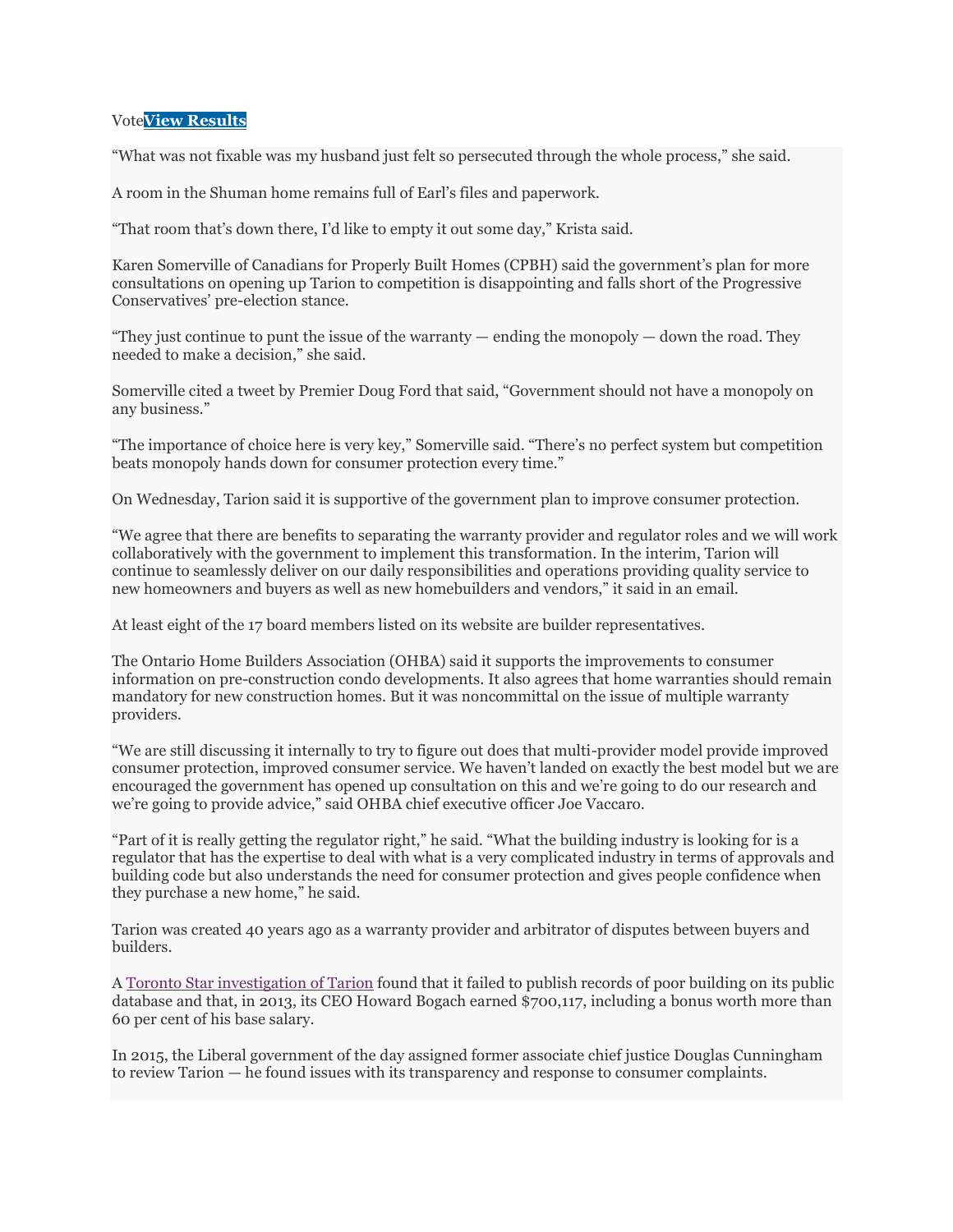#### Vote**View [Results](javascript:PD_vote10245533(1);)**

"What was not fixable was my husband just felt so persecuted through the whole process," she said.

A room in the Shuman home remains full of Earl's files and paperwork.

"That room that's down there, I'd like to empty it out some day," Krista said.

Karen Somerville of Canadians for Properly Built Homes (CPBH) said the government's plan for more consultations on opening up Tarion to competition is disappointing and falls short of the Progressive Conservatives' pre-election stance.

"They just continue to punt the issue of the warranty — ending the monopoly — down the road. They needed to make a decision," she said.

Somerville cited a tweet by Premier Doug Ford that said, "Government should not have a monopoly on any business."

"The importance of choice here is very key," Somerville said. "There's no perfect system but competition beats monopoly hands down for consumer protection every time."

On Wednesday, Tarion said it is supportive of the government plan to improve consumer protection.

"We agree that there are benefits to separating the warranty provider and regulator roles and we will work collaboratively with the government to implement this transformation. In the interim, Tarion will continue to seamlessly deliver on our daily responsibilities and operations providing quality service to new homeowners and buyers as well as new homebuilders and vendors," it said in an email.

At least eight of the 17 board members listed on its website are builder representatives.

The Ontario Home Builders Association (OHBA) said it supports the improvements to consumer information on pre-construction condo developments. It also agrees that home warranties should remain mandatory for new construction homes. But it was noncommittal on the issue of multiple warranty providers.

"We are still discussing it internally to try to figure out does that multi-provider model provide improved consumer protection, improved consumer service. We haven't landed on exactly the best model but we are encouraged the government has opened up consultation on this and we're going to do our research and we're going to provide advice," said OHBA chief executive officer Joe Vaccaro.

"Part of it is really getting the regulator right," he said. "What the building industry is looking for is a regulator that has the expertise to deal with what is a very complicated industry in terms of approvals and building code but also understands the need for consumer protection and gives people confidence when they purchase a new home," he said.

Tarion was created 40 years ago as a warranty provider and arbitrator of disputes between buyers and builders.

A [Toronto Star investigation of Tarion](https://www.thestar.com/news/canada/2013/07/06/star_investigation_homebuyers_not_getting_full_picture_from_protector_tarion.html) found that it failed to publish records of poor building on its public database and that, in 2013, its CEO Howard Bogach earned \$700,117, including a bonus worth more than 60 per cent of his base salary.

In 2015, the Liberal government of the day assigned former associate chief justice Douglas Cunningham to review Tarion — he found issues with its transparency and response to consumer complaints.